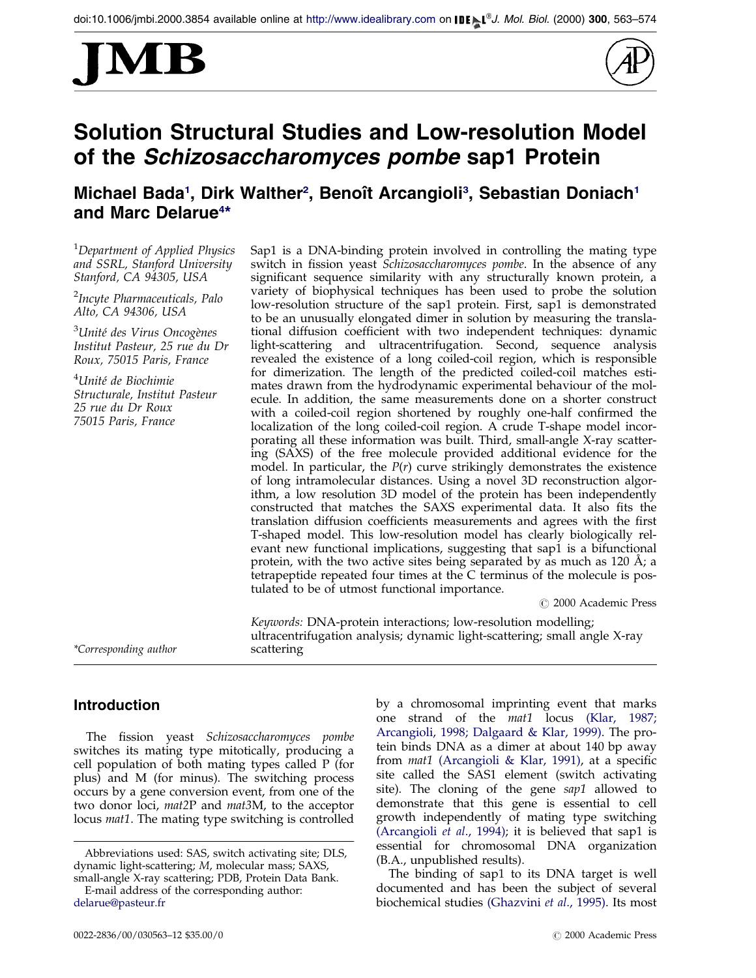



# Solution Structural Studies and Low-resolution Model of the Schizosaccharomyces pombe sap1 Protein

## Michael Bada<sup>1</sup>, Dirk Walther<sup>2</sup>, Benoît Arcangioli<sup>3</sup>, Sebastian Doniach<sup>1</sup> and Marc Delarue<sup>4\*</sup>

<sup>1</sup>Department of Applied Physics and SSRL, Stanford University Stanford, CA 94305, USA

<sup>2</sup>Incyte Pharmaceuticals, Palo Alto, CA 94306, USA

<sup>3</sup>Unité des Virus Oncogènes Institut Pasteur, 25 rue du Dr Roux, 75015 Paris, France

<sup>4</sup>Unité de Biochimie Structurale, Institut Pasteur 25 rue du Dr Roux 75015 Paris, France

Sap1 is a DNA-binding protein involved in controlling the mating type switch in fission yeast Schizosaccharomyces pombe. In the absence of any significant sequence similarity with any structurally known protein, a variety of biophysical techniques has been used to probe the solution low-resolution structure of the sap1 protein. First, sap1 is demonstrated to be an unusually elongated dimer in solution by measuring the translational diffusion coefficient with two independent techniques: dynamic light-scattering and ultracentrifugation. Second, sequence analysis revealed the existence of a long coiled-coil region, which is responsible for dimerization. The length of the predicted coiled-coil matches estimates drawn from the hydrodynamic experimental behaviour of the molecule. In addition, the same measurements done on a shorter construct with a coiled-coil region shortened by roughly one-half confirmed the localization of the long coiled-coil region. A crude T-shape model incorporating all these information was built. Third, small-angle X-ray scattering (SAXS) of the free molecule provided additional evidence for the model. In particular, the  $P(r)$  curve strikingly demonstrates the existence of long intramolecular distances. Using a novel 3D reconstruction algorithm, a low resolution 3D model of the protein has been independently constructed that matches the SAXS experimental data. It also fits the translation diffusion coefficients measurements and agrees with the first T-shaped model. This low-resolution model has clearly biologically relevant new functional implications, suggesting that sap1 is a bifunctional protein, with the two active sites being separated by as much as  $120 \text{ Å}$ ; a tetrapeptide repeated four times at the C terminus of the molecule is postulated to be of utmost functional importance.

Keywords: DNA-protein interactions; low-resolution modelling;

ultracentrifugation analysis; dynamic light-scattering; small angle X-ray

 $\odot$  2000 Academic Press

\*Corresponding author scattering

## Introduction

The fission yeast Schizosaccharomyces pombe switches its mating type mitotically, producing a cell population of both mating types called P (for plus) and M (for minus). The switching process occurs by a gene conversion event, from one of the two donor loci, mat2P and mat3M, to the acceptor locus *mat1*. The mating type switching is controlled

E-mail address of the corresponding author: [delarue@pasteur.fr](mailto:delarue@pasteur.fr)

by a chromosomal imprinting event that marks one strand of the mat1 locus [\(Klar,](#page-10-0) 1987; [Arcangioli,](#page-10-0) 1998; [Dalgaard](#page-10-0) & Klar, 1999). The protein binds DNA as a dimer at about 140 bp away from  $mat1$  [\(Arcangioli](#page-10-0) & Klar, 1991), at a specific site called the SAS1 element (switch activating site). The cloning of the gene sap1 allowed to demonstrate that this gene is essential to cell growth independently of mating type switching [\(Arcangioli](#page-10-0) et al., 1994); it is believed that sap1 is essential for chromosomal DNA organization (B.A., unpublished results).

The binding of sap1 to its DNA target is well documented and has been the subject of several biochemical studies [\(Ghazvini](#page-10-0) et al., 1995). Its most

Abbreviations used: SAS, switch activating site; DLS, dynamic light-scattering; M, molecular mass; SAXS, small-angle X-ray scattering; PDB, Protein Data Bank.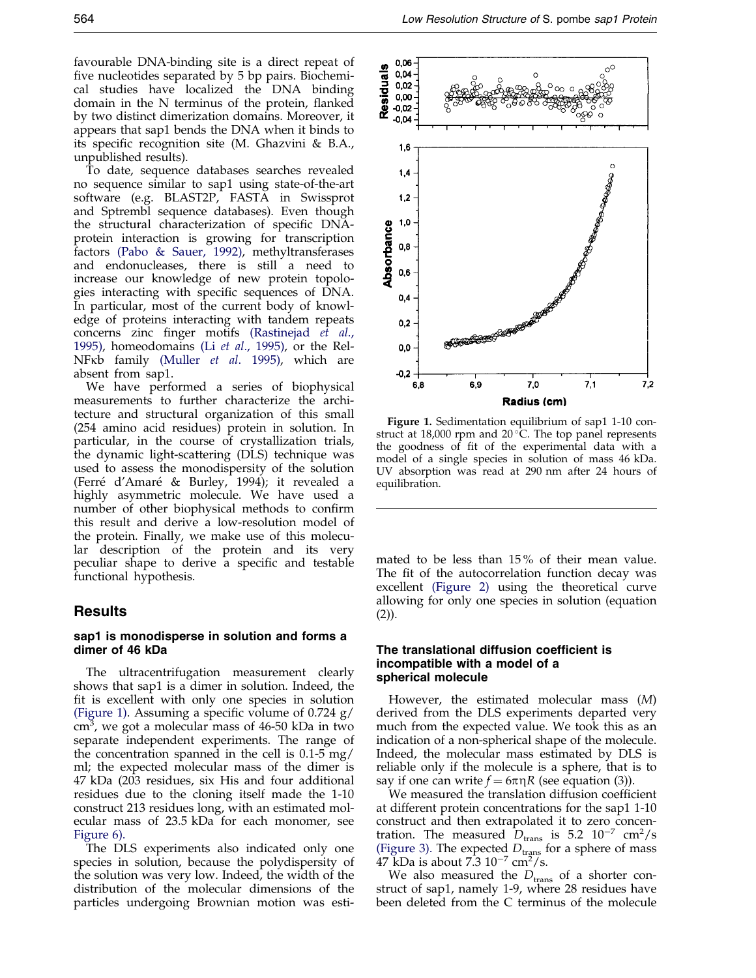favourable DNA-binding site is a direct repeat of five nucleotides separated by 5 bp pairs. Biochemical studies have localized the DNA binding domain in the  $N$  terminus of the protein, flanked by two distinct dimerization domains. Moreover, it appears that sap1 bends the DNA when it binds to its specific recognition site (M. Ghazvini & B.A., unpublished results).

To date, sequence databases searches revealed no sequence similar to sap1 using state-of-the-art software (e.g. BLAST2P, FASTA in Swissprot and Sptrembl sequence databases). Even though the structural characterization of specific DNAprotein interaction is growing for transcription factors (Pabo & [Sauer,](#page-10-0) 1992), methyltransferases and endonucleases, there is still a need to increase our knowledge of new protein topologies interacting with specific sequences of DNA. In particular, most of the current body of knowledge of proteins interacting with tandem repeats concerns zinc finger motifs [\(Rastinejad](#page-10-0) et al., [1995\),](#page-10-0) homeodomains (Li et al., [1995](#page-10-0)), or the Rel-NFkb family [\(Muller](#page-10-0) et al. 1995), which are absent from sap1.

We have performed a series of biophysical measurements to further characterize the architecture and structural organization of this small (254 amino acid residues) protein in solution. In particular, in the course of crystallization trials, the dynamic light-scattering (DLS) technique was used to assess the monodispersity of the solution (Ferré d'Amaré & Burley, 1994); it revealed a highly asymmetric molecule. We have used a number of other biophysical methods to confirm this result and derive a low-resolution model of the protein. Finally, we make use of this molecular description of the protein and its very peculiar shape to derive a specific and testable functional hypothesis.

## Results

## sap1 is monodisperse in solution and forms a dimer of 46 kDa

The ultracentrifugation measurement clearly shows that sap1 is a dimer in solution. Indeed, the fit is excellent with only one species in solution (Figure 1). Assuming a specific volume of  $0.724$  g/ cm<sup>3</sup>, we got a molecular mass of 46-50 kDa in two separate independent experiments. The range of the concentration spanned in the cell is 0.1-5 mg/ ml; the expected molecular mass of the dimer is 47 kDa (203 residues, six His and four additional residues due to the cloning itself made the 1-10 construct 213 residues long, with an estimated molecular mass of 23.5 kDa for each monomer, see [Figure](#page-5-0) 6).

The DLS experiments also indicated only one species in solution, because the polydispersity of the solution was very low. Indeed, the width of the distribution of the molecular dimensions of the particles undergoing Brownian motion was esti-



Figure 1. Sedimentation equilibrium of sap1 1-10 construct at 18,000 rpm and 20 $\degree$ C. The top panel represents the goodness of fit of the experimental data with a model of a single species in solution of mass 46 kDa. UV absorption was read at 290 nm after 24 hours of equilibration.

mated to be less than 15 % of their mean value. The fit of the autocorrelation function decay was excellent [\(Figure](#page-2-0) 2) using the theoretical curve allowing for only one species in solution (equation (2)).

### The translational diffusion coefficient is incompatible with a model of a spherical molecule

However, the estimated molecular mass (M) derived from the DLS experiments departed very much from the expected value. We took this as an indication of a non-spherical shape of the molecule. Indeed, the molecular mass estimated by DLS is reliable only if the molecule is a sphere, that is to say if one can write  $f = 6\pi \eta R$  (see equation (3)).

We measured the translation diffusion coefficient at different protein concentrations for the sap1 1-10 construct and then extrapolated it to zero concentration. The measured  $D_{\text{trans}}$  is 5.2  $10^{-7}$  cm<sup>2</sup>/s [\(Figure](#page-3-0) 3). The expected  $D_{\text{trans}}$  for a sphere of mass 47 kDa is about  $7.3 \, 10^{-7} \, \text{cm}^2/\text{s}$ .

We also measured the  $D_{trans}$  of a shorter construct of sap1, namely 1-9, where 28 residues have been deleted from the C terminus of the molecule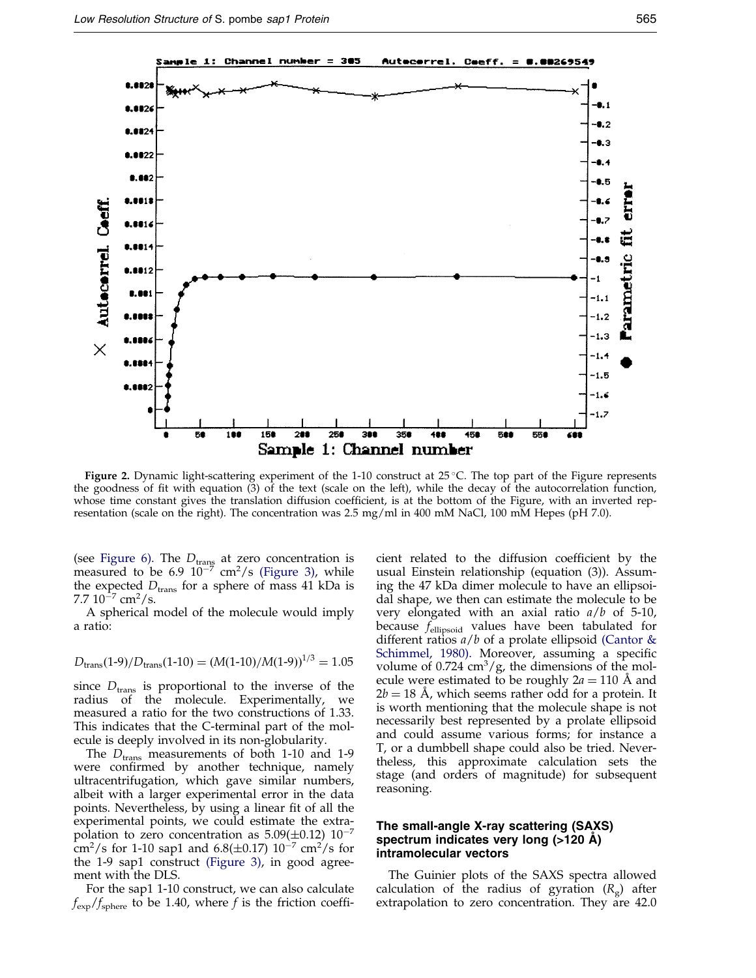<span id="page-2-0"></span>

Figure 2. Dynamic light-scattering experiment of the  $1-10$  construct at  $25^{\circ}$ C. The top part of the Figure represents the goodness of fit with equation  $(3)$  of the text (scale on the left), while the decay of the autocorrelation function, whose time constant gives the translation diffusion coefficient, is at the bottom of the Figure, with an inverted representation (scale on the right). The concentration was 2.5 mg/ml in 400 mM NaCl, 100 mM Hepes (pH 7.0).

(see [Figure](#page-5-0) 6). The  $D_{\text{trang}}$  at zero concentration is measured to be 6.9  $10^{-7}$  cm<sup>2</sup>/s [\(Figure](#page-3-0) 3), while the expected  $D_{trans}$  for a sphere of mass 41 kDa is 7.7  $10^{-7}$  cm<sup>2</sup>/s.

A spherical model of the molecule would imply a ratio:

$$
D_{\text{trans}}(1-9)/D_{\text{trans}}(1-10) = (M(1-10)/M(1-9))^{1/3} = 1.05
$$

since  $D_{trans}$  is proportional to the inverse of the radius of the molecule. Experimentally, we measured a ratio for the two constructions of 1.33. This indicates that the C-terminal part of the molecule is deeply involved in its non-globularity.

The  $D_{trans}$  measurements of both 1-10 and 1-9 were confirmed by another technique, namely ultracentrifugation, which gave similar numbers, albeit with a larger experimental error in the data points. Nevertheless, by using a linear fit of all the experimental points, we could estimate the extrapolation to zero concentration as  $5.09(\pm 0.12)$   $10^{-7}$  $\frac{\text{cm}^2}{\text{s}}$  for 1-10 sap1 and 6.8( $\pm$ 0.17) 10<sup>-7</sup> cm<sup>2</sup>/s for the 1-9 sap1 construct [\(Figure](#page-3-0) 3), in good agreement with the DLS.

For the sap1 1-10 construct, we can also calculate  $f_{\rm exp}/f_{\rm sphere}$  to be 1.40, where f is the friction coeffi-

cient related to the diffusion coefficient by the usual Einstein relationship (equation (3)). Assuming the 47 kDa dimer molecule to have an ellipsoidal shape, we then can estimate the molecule to be very elongated with an axial ratio  $a/b$  of 5-10, because  $f_{\text{ellipsoid}}$  values have been tabulated for different ratios  $a/b$  of a prolate ellipsoid [\(Cantor](#page-10-0) & [Schimmel,](#page-10-0) 1980). Moreover, assuming a specific volume of  $0.724 \text{ cm}^3/\text{g}$ , the dimensions of the molecule were estimated to be roughly  $2a = 110$  Å and  $2b = 18$  A, which seems rather odd for a protein. It is worth mentioning that the molecule shape is not necessarily best represented by a prolate ellipsoid and could assume various forms; for instance a T, or a dumbbell shape could also be tried. Nevertheless, this approximate calculation sets the stage (and orders of magnitude) for subsequent reasoning.

## The small-angle X-ray scattering (SAXS) spectrum indicates very long  $($ >120 A) intramolecular vectors

The Guinier plots of the SAXS spectra allowed calculation of the radius of gyration  $(R_{\rm g})$  after extrapolation to zero concentration. They are 42.0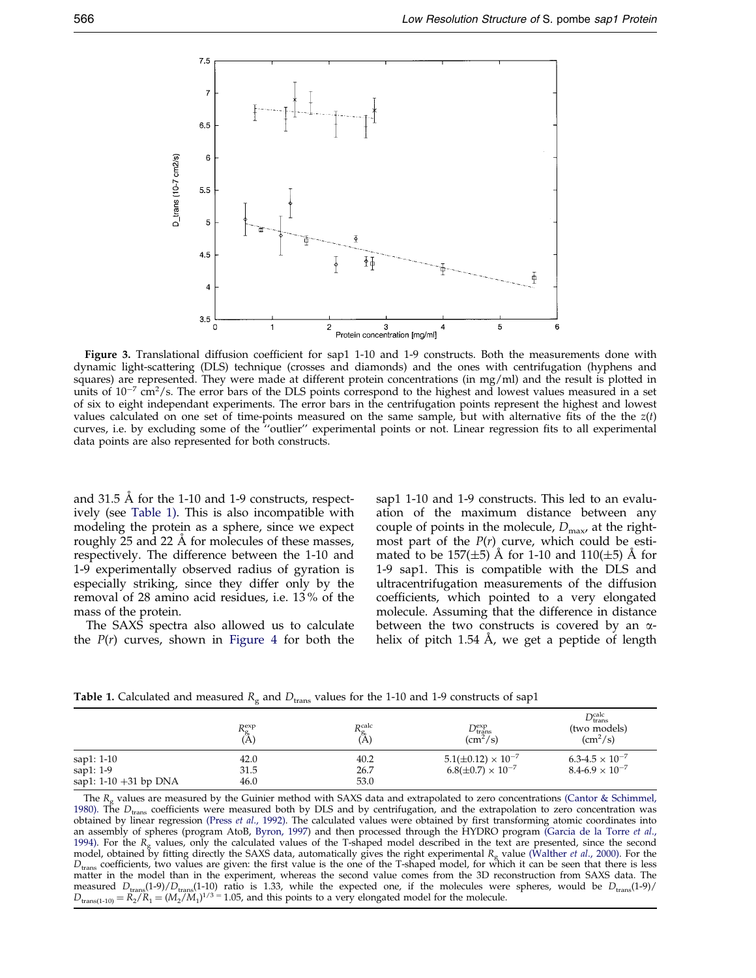<span id="page-3-0"></span>

Figure 3. Translational diffusion coefficient for sap1 1-10 and 1-9 constructs. Both the measurements done with dynamic light-scattering (DLS) technique (crosses and diamonds) and the ones with centrifugation (hyphens and squares) are represented. They were made at different protein concentrations (in mg/ml) and the result is plotted in units of  $10^{-7}$  cm<sup>2</sup>/s. The error bars of the DLS points correspond to the highest and lowest values measured in a set of six to eight independant experiments. The error bars in the centrifugation points represent the highest and lowest values calculated on one set of time-points measured on the same sample, but with alternative fits of the the  $z(t)$ curves, i.e. by excluding some of the "outlier" experimental points or not. Linear regression fits to all experimental data points are also represented for both constructs.

and 31.5  $\AA$  for the 1-10 and 1-9 constructs, respectively (see Table 1). This is also incompatible with modeling the protein as a sphere, since we expect roughly 25 and 22 Å for molecules of these masses, respectively. The difference between the 1-10 and 1-9 experimentally observed radius of gyration is especially striking, since they differ only by the removal of 28 amino acid residues, i.e. 13 % of the mass of the protein.

The SAXS spectra also allowed us to calculate the  $P(r)$  curves, shown in [Figure](#page-4-0) 4 for both the sap1 1-10 and 1-9 constructs. This led to an evaluation of the maximum distance between any couple of points in the molecule,  $D_{\text{max}}$ , at the rightmost part of the  $P(r)$  curve, which could be estimated to be 157( $\pm$ 5) Å for 1-10 and 110( $\pm$ 5) Å for 1-9 sap1. This is compatible with the DLS and ultracentrifugation measurements of the diffusion coefficients, which pointed to a very elongated molecule. Assuming that the difference in distance between the two constructs is covered by an  $\alpha$ helix of pitch 1.54 Å, we get a peptide of length

**Table 1.** Calculated and measured  $R_g$  and  $D_{trans}$  values for the 1-10 and 1-9 constructs of sap1

|                          | $R_{\rm g}^{\rm exp}$<br>(A) | $R_{\rm g}^{\rm calc}$<br>(A) | $D_{trans}^{exp}$<br>$\rm (cm^2/s)$ | $D_{\rm trans}^{\rm calc}$<br>(two models)<br>$\rm (cm^2/s)$ |
|--------------------------|------------------------------|-------------------------------|-------------------------------------|--------------------------------------------------------------|
| sap1: 1-10               | 42.0                         | 40.2                          | $5.1(\pm 0.12) \times 10^{-7}$      | $6.3 - 4.5 \times 10^{-7}$                                   |
| sap1: $1-9$              | 31.5                         | 26.7                          | $6.8(\pm 0.7) \times 10^{-7}$       | $8.4 - 6.9 \times 10^{-7}$                                   |
| sap1: $1-10 + 31$ bp DNA | 46.0                         | 53.0                          |                                     |                                                              |

The  $R<sub>e</sub>$  values are measured by the Guinier method with SAXS data and extrapolated to zero concentrations (Cantor & [Schimmel,](#page-10-0) [1980\).](#page-10-0) The  $D_{trans}$  coefficients were measured both by DLS and by centrifugation, and the extrapolation to zero concentration was obtained by linear regression [\(Press](#page-10-0) et al., 1992). The calculated values were obtained by first transforming atomic coordinates into an assembly of spheres (program AtoB, [Byron,](#page-10-0) 1997) and then processed through the HYDRO program [\(Garcia](#page-10-0) de la Torre et al., [1994\).](#page-10-0) For the  $R<sub>g</sub>$  values, only the calculated values of the T-shaped model described in the text are presented, since the second model, obtained by fitting directly the SAXS data, automatically gives the right experimental  $R_g$  value [\(Walther](#page-11-0) et al., 2000). For the  $D_{trans}$  coefficients, two values are given: the first value is the one of the T-shaped model, for which it can be seen that there is less matter in the model than in the experiment, whereas the second value comes from the 3D reconstruction from SAXS data. The measured  $D_{trans}(1-9)/D_{trans}(1-10)$  ratio is 1.33, while the expected one, if the molecules were spheres, would be  $D_{trans}(1-9)/D_{trans}(1-10)$  $D_{trans(1-10)} = R_2/R_1 = (M_2/M_1)^{1/3} = 1.05$ , and this points to a very elongated model for the molecule.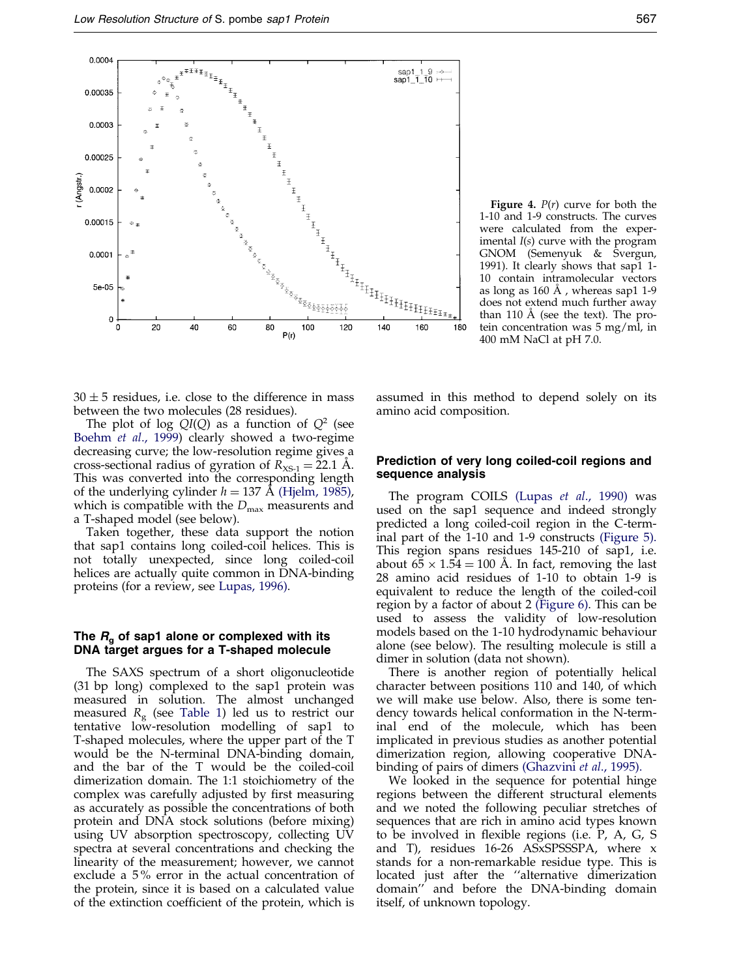<span id="page-4-0"></span>

**Figure 4.**  $P(r)$  curve for both the 1-10 and 1-9 constructs. The curves were calculated from the experimental  $I(s)$  curve with the program GNOM (Semenyuk & Svergun, 1991). It clearly shows that sap1 1- 10 contain intramolecular vectors as long as  $160 \text{ Å}$ , whereas sap1 1-9 does not extend much further away than 110  $\AA$  (see the text). The protein concentration was 5 mg/ml, in 400 mM NaCl at pH 7.0.

 $30 \pm 5$  residues, i.e. close to the difference in mass between the two molecules (28 residues).

The plot of log  $QI(Q)$  as a function of  $Q^2$  (see [Boehm](#page-10-0) et al., 1999) clearly showed a two-regime decreasing curve; the low-resolution regime gives a cross-sectional radius of gyration of  $R_{\text{XS-1}} = 22.1 \text{ A}.$ This was converted into the corresponding length of the underlying cylinder  $h = 137 \text{ Å}$  [\(Hjelm,](#page-10-0) 1985), which is compatible with the  $D_{\text{max}}$  measurents and a T-shaped model (see below).

Taken together, these data support the notion that sap1 contains long coiled-coil helices. This is not totally unexpected, since long coiled-coil helices are actually quite common in DNA-binding proteins (for a review, see [Lupas,](#page-10-0) 1996).

## The  $R_{q}$  of sap1 alone or complexed with its DNA target argues for a T-shaped molecule

The SAXS spectrum of a short oligonucleotide (31 bp long) complexed to the sap1 protein was measured in solution. The almost unchanged measured  $R<sub>g</sub>$  (see [Table](#page-3-0) 1) led us to restrict our tentative low-resolution modelling of sap1 to T-shaped molecules, where the upper part of the T would be the N-terminal DNA-binding domain, and the bar of the T would be the coiled-coil dimerization domain. The 1:1 stoichiometry of the complex was carefully adjusted by first measuring as accurately as possible the concentrations of both protein and DNA stock solutions (before mixing) using UV absorption spectroscopy, collecting UV spectra at several concentrations and checking the linearity of the measurement; however, we cannot exclude a 5 % error in the actual concentration of the protein, since it is based on a calculated value of the extinction coefficient of the protein, which is assumed in this method to depend solely on its amino acid composition.

## Prediction of very long coiled-coil regions and sequence analysis

The program COILS [\(Lupas](#page-10-0) et al., 1990) was used on the sap1 sequence and indeed strongly predicted a long coiled-coil region in the C-terminal part of the 1-10 and 1-9 constructs [\(Figure](#page-5-0) 5). This region spans residues 145-210 of sap1, i.e. about  $6\frac{5}{5} \times 1.54 = 100$  Å. In fact, removing the last 28 amino acid residues of 1-10 to obtain 1-9 is equivalent to reduce the length of the coiled-coil region by a factor of about 2 [\(Figure](#page-5-0) 6). This can be used to assess the validity of low-resolution models based on the 1-10 hydrodynamic behaviour alone (see below). The resulting molecule is still a dimer in solution (data not shown).

There is another region of potentially helical character between positions 110 and 140, of which we will make use below. Also, there is some tendency towards helical conformation in the N-terminal end of the molecule, which has been implicated in previous studies as another potential dimerization region, allowing cooperative DNAbinding of pairs of dimers [\(Ghazvini](#page-10-0) et al., 1995).

We looked in the sequence for potential hinge regions between the different structural elements and we noted the following peculiar stretches of sequences that are rich in amino acid types known to be involved in flexible regions (i.e.  $P$ ,  $A$ ,  $C$ ,  $S$ and T), residues 16-26 ASxSPSSSPA, where x stands for a non-remarkable residue type. This is located just after the "alternative dimerization domain'' and before the DNA-binding domain itself, of unknown topology.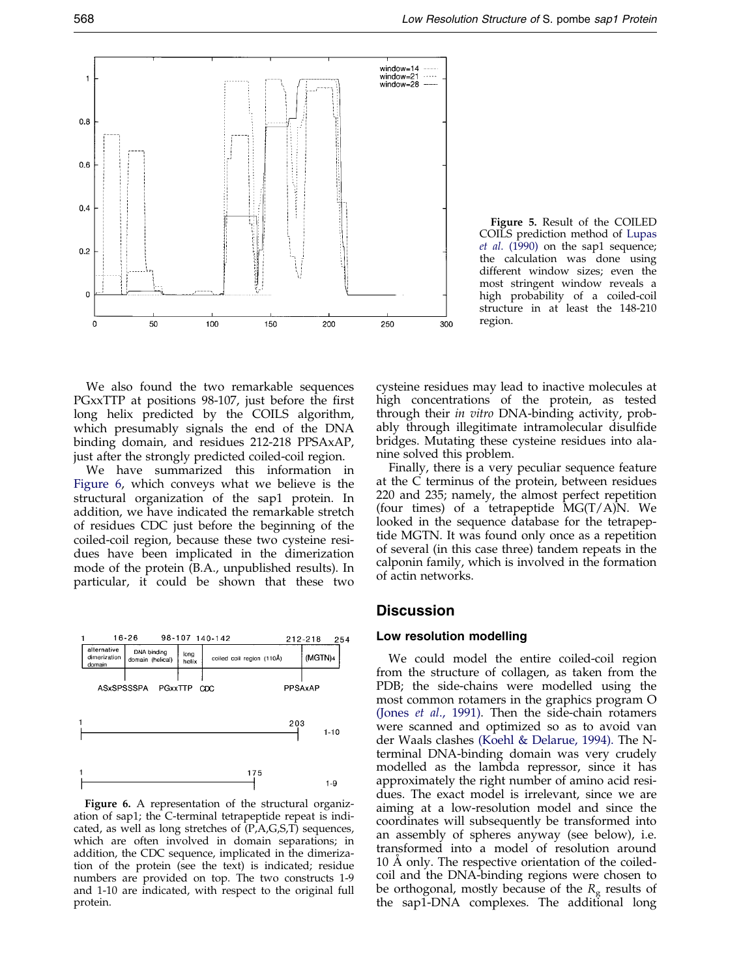<span id="page-5-0"></span>

We also found the two remarkable sequences PGxxTTP at positions 98-107, just before the first long helix predicted by the COILS algorithm, which presumably signals the end of the DNA binding domain, and residues 212-218 PPSAxAP, just after the strongly predicted coiled-coil region.

We have summarized this information in Figure 6, which conveys what we believe is the structural organization of the sap1 protein. In addition, we have indicated the remarkable stretch of residues CDC just before the beginning of the coiled-coil region, because these two cysteine residues have been implicated in the dimerization mode of the protein (B.A., unpublished results). In particular, it could be shown that these two



Figure 6. A representation of the structural organization of sap1; the C-terminal tetrapeptide repeat is indicated, as well as long stretches of (P,A,G,S,T) sequences, which are often involved in domain separations; in addition, the CDC sequence, implicated in the dimerization of the protein (see the text) is indicated; residue numbers are provided on top. The two constructs 1-9 and 1-10 are indicated, with respect to the original full protein.

Figure 5. Result of the COILED COILS prediction method of [Lupas](#page-10-0) et al. [\(1990\)](#page-10-0) on the sap1 sequence; the calculation was done using different window sizes; even the most stringent window reveals a high probability of a coiled-coil structure in at least the 148-210 region.

cysteine residues may lead to inactive molecules at high concentrations of the protein, as tested through their in vitro DNA-binding activity, probably through illegitimate intramolecular disulfide bridges. Mutating these cysteine residues into alanine solved this problem.

Finally, there is a very peculiar sequence feature at the C terminus of the protein, between residues 220 and 235; namely, the almost perfect repetition (four times) of a tetrapeptide  $MG(T/A)N$ . We looked in the sequence database for the tetrapeptide MGTN. It was found only once as a repetition of several (in this case three) tandem repeats in the calponin family, which is involved in the formation of actin networks.

## **Discussion**

#### Low resolution modelling

We could model the entire coiled-coil region from the structure of collagen, as taken from the PDB; the side-chains were modelled using the most common rotamers in the graphics program O [\(Jones](#page-10-0) et al., 1991). Then the side-chain rotamers were scanned and optimized so as to avoid van der Waals clashes (Koehl & [Delarue,](#page-10-0) 1994). The Nterminal DNA-binding domain was very crudely modelled as the lambda repressor, since it has approximately the right number of amino acid residues. The exact model is irrelevant, since we are aiming at a low-resolution model and since the coordinates will subsequently be transformed into an assembly of spheres anyway (see below), i.e. transformed into a model of resolution around 10 A only. The respective orientation of the coiledcoil and the DNA-binding regions were chosen to be orthogonal, mostly because of the  $R_g$  results of the sap1-DNA complexes. The additional long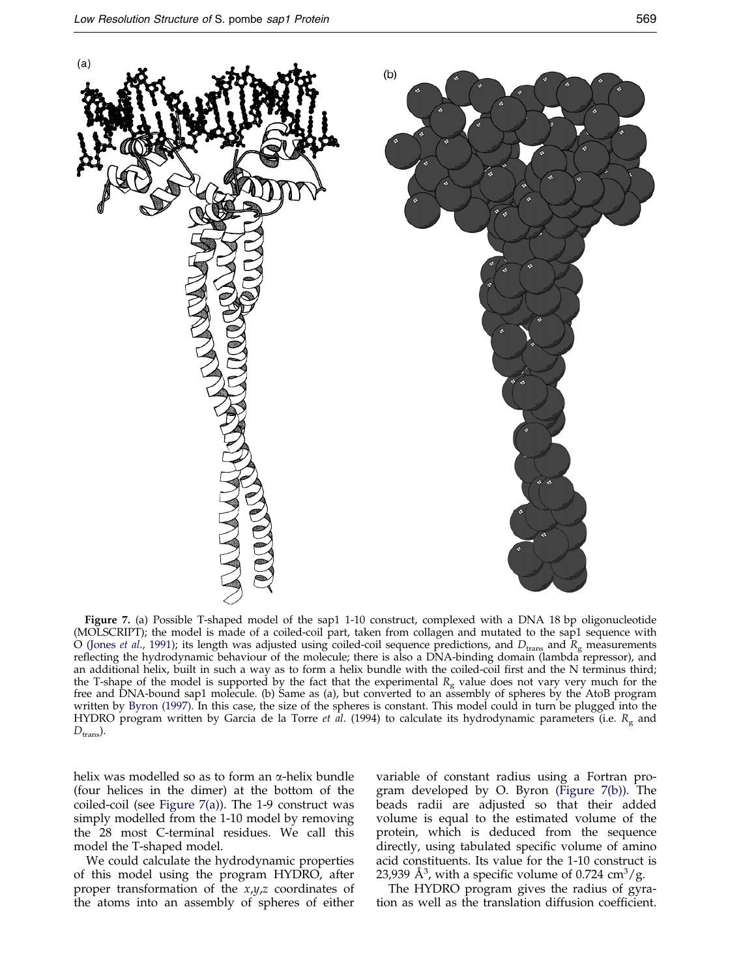

Figure 7. (a) Possible T-shaped model of the sap1 1-10 construct, complexed with a DNA 18 bp oligonucleotide (MOLSCRIPT); the model is made of a coiled-coil part, taken from collagen and mutated to the sap1 sequence with O [\(Jones](#page-10-0) *et al.,* 1991); its length was adjusted using coiled-coil sequence predictions, and  $D_{\rm trans}$  and  $R_{\rm g}$  measurements reflecting the hydrodynamic behaviour of the molecule; there is also a DNA-binding domain (lambda repressor), and an additional helix, built in such a way as to form a helix bundle with the coiled-coil first and the N terminus third; the T-shape of the model is supported by the fact that the experimental  $R_g$  value does not vary very much for the free and DNA-bound sap1 molecule. (b) Same as (a), but converted to an assembly of spheres by the AtoB program written by Byron [\(1997\).](#page-10-0) In this case, the size of the spheres is constant. This model could in turn be plugged into the HYDRO program written by Garcia de la Torre *et al.* (1994) to calculate its hydrodynamic parameters (i.e.  $R_g$  and  $D_{trans}$ ).

helix was modelled so as to form an  $\alpha$ -helix bundle (four helices in the dimer) at the bottom of the coiled-coil (see Figure 7(a)). The 1-9 construct was simply modelled from the 1-10 model by removing the 28 most C-terminal residues. We call this model the T-shaped model.

We could calculate the hydrodynamic properties of this model using the program HYDRO, after proper transformation of the  $x,y,z$  coordinates of the atoms into an assembly of spheres of either variable of constant radius using a Fortran program developed by O. Byron (Figure 7(b)). The beads radii are adjusted so that their added volume is equal to the estimated volume of the protein, which is deduced from the sequence directly, using tabulated specific volume of amino acid constituents. Its value for the 1-10 construct is 23,939 Å<sup>3</sup>, with a specific volume of 0.724 cm<sup>3</sup>/g.

The HYDRO program gives the radius of gyration as well as the translation diffusion coefficient.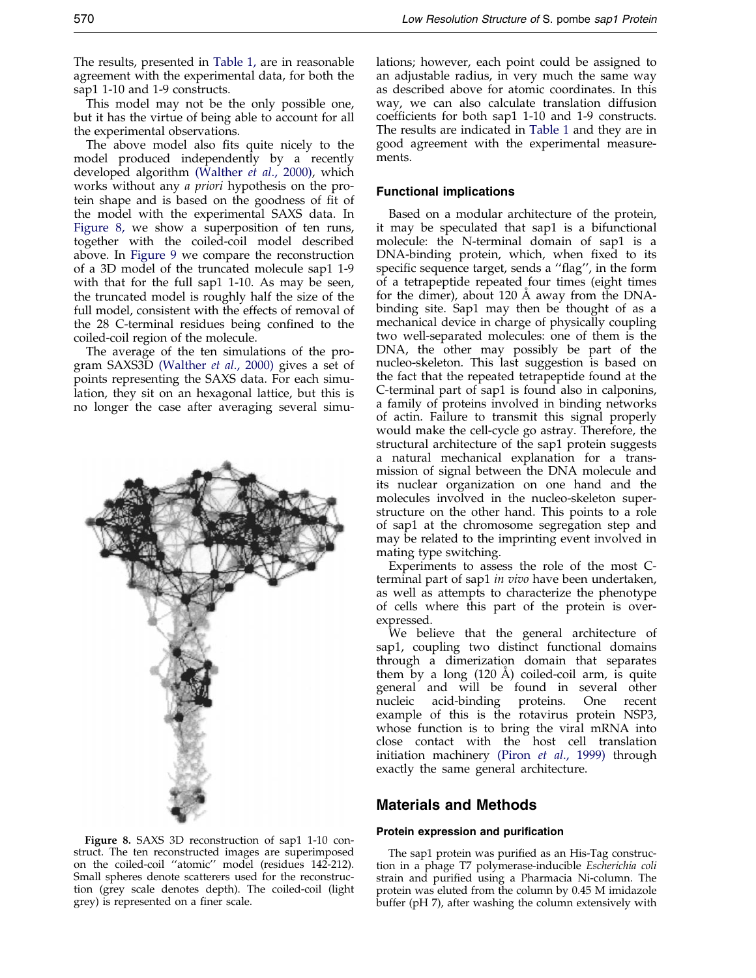The results, presented in [Table](#page-3-0) 1, are in reasonable agreement with the experimental data, for both the sap1 1-10 and 1-9 constructs.

This model may not be the only possible one, but it has the virtue of being able to account for all the experimental observations.

The above model also fits quite nicely to the model produced independently by a recently developed algorithm [\(Walther](#page-11-0) et al., 2000), which works without any a priori hypothesis on the protein shape and is based on the goodness of fit of the model with the experimental SAXS data. In Figure 8, we show a superposition of ten runs, together with the coiled-coil model described above. In [Figure](#page-8-0) 9 we compare the reconstruction of a 3D model of the truncated molecule sap1 1-9 with that for the full sap1 1-10. As may be seen, the truncated model is roughly half the size of the full model, consistent with the effects of removal of the 28 C-terminal residues being confined to the coiled-coil region of the molecule.

The average of the ten simulations of the program SAXS3D [\(Walther](#page-11-0) et al., 2000) gives a set of points representing the SAXS data. For each simulation, they sit on an hexagonal lattice, but this is no longer the case after averaging several simu-



Figure 8. SAXS 3D reconstruction of sap1 1-10 construct. The ten reconstructed images are superimposed on the coiled-coil "atomic" model (residues 142-212). Small spheres denote scatterers used for the reconstruction (grey scale denotes depth). The coiled-coil (light grey) is represented on a finer scale.

lations; however, each point could be assigned to an adjustable radius, in very much the same way as described above for atomic coordinates. In this way, we can also calculate translation diffusion coefficients for both sap1 1-10 and 1-9 constructs. The results are indicated in [Table](#page-3-0) 1 and they are in good agreement with the experimental measurements.

#### Functional implications

Based on a modular architecture of the protein, it may be speculated that sap1 is a bifunctional molecule: the N-terminal domain of sap1 is a DNA-binding protein, which, when fixed to its specific sequence target, sends a "flag", in the form of a tetrapeptide repeated four times (eight times for the dimer), about 120 Å away from the DNAbinding site. Sap1 may then be thought of as a mechanical device in charge of physically coupling two well-separated molecules: one of them is the DNA, the other may possibly be part of the nucleo-skeleton. This last suggestion is based on the fact that the repeated tetrapeptide found at the C-terminal part of sap1 is found also in calponins, a family of proteins involved in binding networks of actin. Failure to transmit this signal properly would make the cell-cycle go astray. Therefore, the structural architecture of the sap1 protein suggests a natural mechanical explanation for a transmission of signal between the DNA molecule and its nuclear organization on one hand and the molecules involved in the nucleo-skeleton superstructure on the other hand. This points to a role of sap1 at the chromosome segregation step and may be related to the imprinting event involved in mating type switching.

Experiments to assess the role of the most Cterminal part of sap1 in vivo have been undertaken, as well as attempts to characterize the phenotype of cells where this part of the protein is overexpressed.

We believe that the general architecture of sap1, coupling two distinct functional domains through a dimerization domain that separates them by a long  $(120 \text{ Å})$  coiled-coil arm, is quite general and will be found in several other nucleic acid-binding proteins. One recent example of this is the rotavirus protein NSP3, whose function is to bring the viral mRNA into close contact with the host cell translation initiation machinery [\(Piron](#page-10-0) et al., 1999) through exactly the same general architecture.

## Materials and Methods

#### Protein expression and purification

The sap1 protein was purified as an His-Tag construction in a phage T7 polymerase-inducible Escherichia coli strain and purified using a Pharmacia Ni-column. The protein was eluted from the column by 0.45 M imidazole buffer (pH 7), after washing the column extensively with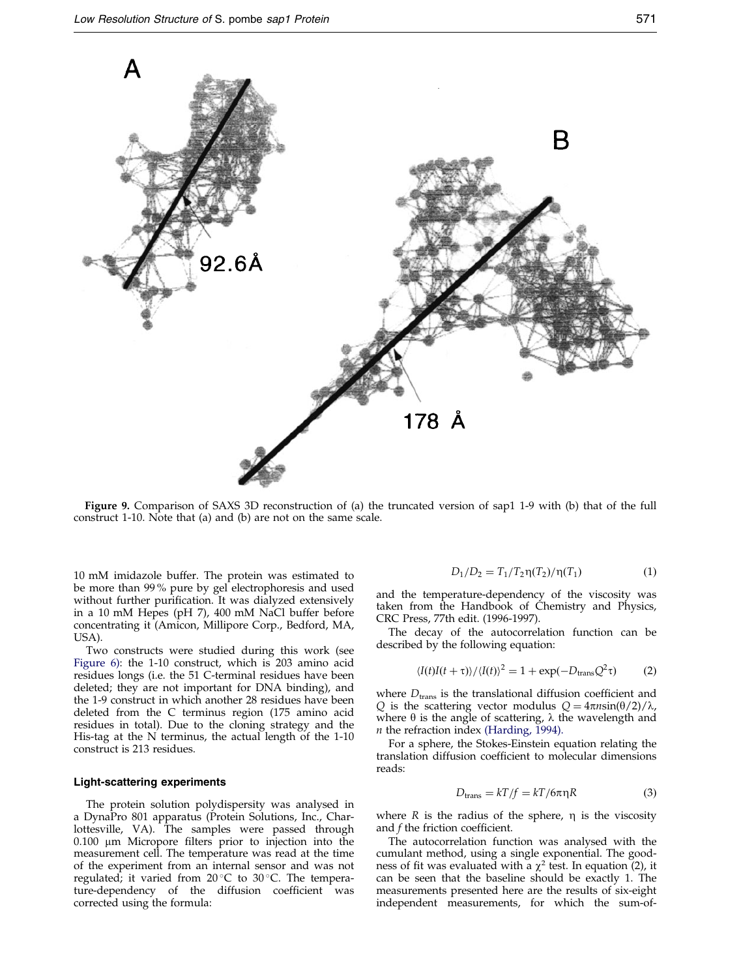<span id="page-8-0"></span>

Figure 9. Comparison of SAXS 3D reconstruction of (a) the truncated version of sap1 1-9 with (b) that of the full construct 1-10. Note that (a) and (b) are not on the same scale.

10 mM imidazole buffer. The protein was estimated to be more than 99 % pure by gel electrophoresis and used without further purification. It was dialyzed extensively in a 10 mM Hepes (pH 7), 400 mM NaCl buffer before concentrating it (Amicon, Millipore Corp., Bedford, MA, USA).

Two constructs were studied during this work (see [Figure](#page-5-0) 6): the 1-10 construct, which is 203 amino acid residues longs (i.e. the 51 C-terminal residues have been deleted; they are not important for DNA binding), and the 1-9 construct in which another 28 residues have been deleted from the C terminus region (175 amino acid residues in total). Due to the cloning strategy and the His-tag at the N terminus, the actual length of the 1-10 construct is 213 residues.

#### Light-scattering experiments

The protein solution polydispersity was analysed in a DynaPro 801 apparatus (Protein Solutions, Inc., Charlottesville, VA). The samples were passed through  $0.100$   $\mu$ m Micropore filters prior to injection into the measurement cell. The temperature was read at the time of the experiment from an internal sensor and was not regulated; it varied from  $20^{\circ}$ C to  $30^{\circ}$ C. The temperature-dependency of the diffusion coefficient was corrected using the formula:

$$
D_1/D_2 = T_1/T_2 \eta(T_2)/\eta(T_1) \tag{1}
$$

and the temperature-dependency of the viscosity was taken from the Handbook of Chemistry and Physics, CRC Press, 77th edit. (1996-1997).

The decay of the autocorrelation function can be described by the following equation:

$$
\langle I(t)I(t+\tau)\rangle/\langle I(t)\rangle^2 = 1 + \exp(-D_{\text{trans}}Q^2\tau)
$$
 (2)

where  $D_{\mathrm{trans}}$  is the translational diffusion coefficient and Q is the scattering vector modulus  $Q = 4\pi n \sin(\theta/2)/\lambda$ , where  $\theta$  is the angle of scattering,  $\lambda$  the wavelength and  $n$  the refraction index [\(Harding,](#page-10-0) 1994).

For a sphere, the Stokes-Einstein equation relating the translation diffusion coefficient to molecular dimensions reads:

$$
D_{\text{trans}} = kT/f = kT/6\pi\eta R\tag{3}
$$

where  $R$  is the radius of the sphere,  $\eta$  is the viscosity and  $f$  the friction coefficient.

The autocorrelation function was analysed with the cumulant method, using a single exponential. The goodness of fit was evaluated with a  $\chi^2$  test. In equation (2), it can be seen that the baseline should be exactly 1. The measurements presented here are the results of six-eight independent measurements, for which the sum-of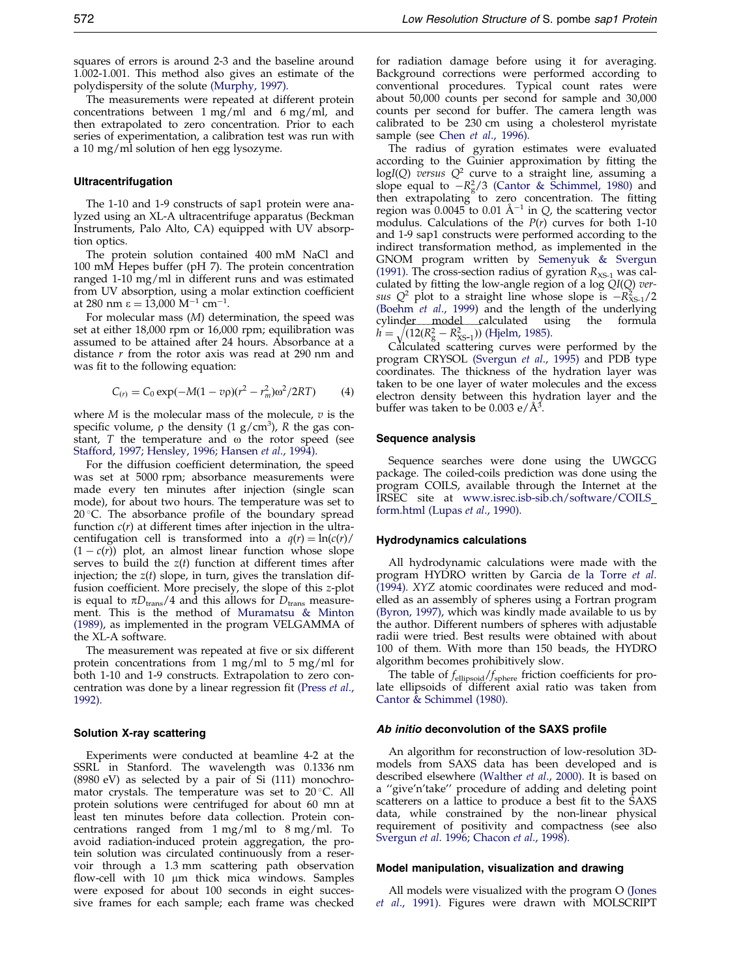squares of errors is around 2-3 and the baseline around 1.002-1.001. This method also gives an estimate of the polydispersity of the solute [\(Murphy,](#page-10-0) 1997).

The measurements were repeated at different protein concentrations between 1 mg/ml and 6 mg/ml, and then extrapolated to zero concentration. Prior to each series of experimentation, a calibration test was run with a 10 mg/ml solution of hen egg lysozyme.

#### Ultracentrifugation

The 1-10 and 1-9 constructs of sap1 protein were analyzed using an XL-A ultracentrifuge apparatus (Beckman Instruments, Palo Alto, CA) equipped with UV absorption optics.

The protein solution contained 400 mM NaCl and 100 mM Hepes buffer (pH 7). The protein concentration ranged 1-10 mg/ml in different runs and was estimated from UV absorption, using a molar extinction coefficient at 280 nm  $\varepsilon = 13,000 \text{ M}^{-1} \text{ cm}^{-1}$ .

For molecular mass (M) determination, the speed was set at either 18,000 rpm or 16,000 rpm; equilibration was assumed to be attained after 24 hours. Absorbance at a distance  $r$  from the rotor axis was read at 290 nm and was fit to the following equation:

$$
C_{(r)} = C_0 \exp(-M(1 - v\rho)(r^2 - r_m^2)\omega^2/2RT)
$$
 (4)

where  $M$  is the molecular mass of the molecule,  $v$  is the specific volume,  $\rho$  the density (1 g/cm<sup>3</sup>), R the gas constant,  $T$  the temperature and  $\omega$  the rotor speed (see [Stafford,](#page-11-0) 1997; [Hensley,](#page-10-0) 1996; [Hansen](#page-10-0) et al., 1994).

For the diffusion coefficient determination, the speed was set at 5000 rpm; absorbance measurements were made every ten minutes after injection (single scan mode), for about two hours. The temperature was set to  $20^{\circ}$ C. The absorbance profile of the boundary spread function  $c(r)$  at different times after injection in the ultracentifugation cell is transformed into a  $q(r) = \ln(c(r))$  $(1 - c(r))$  plot, an almost linear function whose slope serves to build the  $z(t)$  function at different times after injection; the  $z(t)$  slope, in turn, gives the translation diffusion coefficient. More precisely, the slope of this z-plot is equal to  $\pi D_{trans}/4$  and this allows for  $D_{trans}$  measurement. This is the method of [Muramatsu](#page-10-0) & Minton [\(1989\)](#page-10-0), as implemented in the program VELGAMMA of the XL-A software.

The measurement was repeated at five or six different protein concentrations from 1 mg/ml to 5 mg/ml for both 1-10 and 1-9 constructs. Extrapolation to zero con-centration was done by a linear regression fit [\(Press](#page-10-0) et al., [1992\).](#page-10-0)

#### Solution X-ray scattering

Experiments were conducted at beamline 4-2 at the SSRL in Stanford. The wavelength was 0.1336 nm (8980 eV) as selected by a pair of Si (111) monochromator crystals. The temperature was set to  $20^{\circ}$ C. All protein solutions were centrifuged for about 60 mn at least ten minutes before data collection. Protein concentrations ranged from 1 mg/ml to 8 mg/ml. To avoid radiation-induced protein aggregation, the protein solution was circulated continuously from a reservoir through a 1.3 mm scattering path observation flow-cell with 10 µm thick mica windows. Samples were exposed for about 100 seconds in eight successive frames for each sample; each frame was checked

for radiation damage before using it for averaging. Background corrections were performed according to conventional procedures. Typical count rates were about 50,000 counts per second for sample and 30,000 counts per second for buffer. The camera length was calibrated to be 230 cm using a cholesterol myristate sample (see Chen et al., [1996\)](#page-10-0).

The radius of gyration estimates were evaluated according to the Guinier approximation by fitting the  $logI(Q)$  versus  $Q^2$  curve to a straight line, assuming a slope equal to  $-R_g^2/3$  (Cantor & [Schimmel,](#page-10-0) 1980) and then extrapolating to zero concentration. The fitting region was 0.0045 to 0.01 Å<sup> $-1$ </sup> in Q, the scattering vector modulus. Calculations of the  $P(r)$  curves for both 1-10 and 1-9 sap1 constructs were performed according to the indirect transformation method, as implemented in the GNOM program written by [Semenyuk](#page-10-0) & Svergun [\(1991\).](#page-10-0) The cross-section radius of gyration  $R_{\text{XS-1}}$  was calculated by fitting the low-angle region of a log  $QI(Q)$  versus  $Q^2$  plot to a straight line whose slope is  $-R_{XS-1}^2/2$ [\(Boehm](#page-10-0) et al., 1999) and the length of the underlying cylinder model calculated using the formula  $h = \sqrt{(12(R_g^2 - R_{XS-1}^2))}$  [\(Hjelm,](#page-10-0) 1985).

Calculated scattering curves were performed by the program CRYSOL [\(Svergun](#page-10-0) et al., 1995) and PDB type coordinates. The thickness of the hydration layer was taken to be one layer of water molecules and the excess electron density between this hydration layer and the buffer was taken to be  $0.003 \text{ e}/\text{\AA}^3$ .

#### Sequence analysis

Sequence searches were done using the UWGCG package. The coiled-coils prediction was done using the program COILS, available through the Internet at the IRSEC site at [www.isrec.isb-sib.ch/software/COILS](http://www.isrec.isb-sib.ch/software/COILS_form.html) [form.html](http://www.isrec.isb-sib.ch/software/COILS_form.html) [\(Lupas](#page-10-0) et al., 1990).

#### Hydrodynamics calculations

All hydrodynamic calculations were made with the program HYDRO written by Garcia de la [Torre](#page-10-0) et al. [\(1994\).](#page-10-0) XYZ atomic coordinates were reduced and modelled as an assembly of spheres using a Fortran program [\(Byron,](#page-10-0) 1997), which was kindly made available to us by the author. Different numbers of spheres with adjustable radii were tried. Best results were obtained with about 100 of them. With more than 150 beads, the HYDRO algorithm becomes prohibitively slow.

The table of  $f_{\text{ellipsoid}}/f_{\text{sphere}}$  friction coefficients for prolate ellipsoids of different axial ratio was taken from Cantor & [Schimmel](#page-10-0) (1980).

#### Ab initio deconvolution of the SAXS profile

An algorithm for reconstruction of low-resolution 3Dmodels from SAXS data has been developed and is described elsewhere [\(Walther](#page-11-0) et al., 2000). It is based on a "give'n'take" procedure of adding and deleting point scatterers on a lattice to produce a best fit to the SAXS data, while constrained by the non-linear physical requirement of positivity and compactness (see also [Svergun](#page-11-0) et al. 1996; [Chacon](#page-10-0) et al., 1998).

#### Model manipulation, visualization and drawing

All models were visualized with the program O [\(Jones](#page-10-0) et al., [1991\).](#page-10-0) Figures were drawn with MOLSCRIPT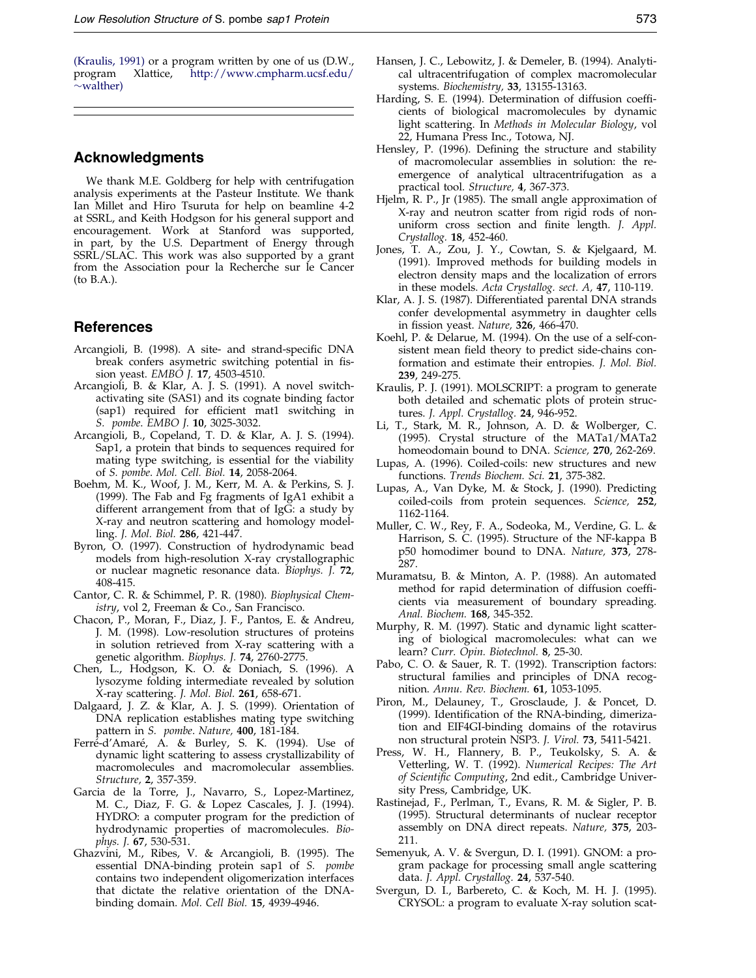<span id="page-10-0"></span>(Kraulis, 1991) or a program written by one of us (D.W., program Xlattice, http://www.cmpharm.ucsf.edu/ Xlattice, [http://www.cmpharm.ucsf.edu/](http://www.cmpharm.ucsf.edu/~walther)  $\sim$ [walther\)](http://www.cmpharm.ucsf.edu/~walther)

## Acknowledgments

We thank M.E. Goldberg for help with centrifugation analysis experiments at the Pasteur Institute. We thank Ian Millet and Hiro Tsuruta for help on beamline 4-2 at SSRL, and Keith Hodgson for his general support and encouragement. Work at Stanford was supported, in part, by the U.S. Department of Energy through SSRL/SLAC. This work was also supported by a grant from the Association pour la Recherche sur le Cancer (to B.A.).

## References

- Arcangioli, B. (1998). A site- and strand-specific DNA break confers asymetric switching potential in fission yeast. EMBO J. 17, 4503-4510.
- Arcangioli, B. & Klar, A. J. S. (1991). A novel switchactivating site (SAS1) and its cognate binding factor (sap1) required for efficient mat1 switching in S. pombe. EMBO J. 10, 3025-3032.
- Arcangioli, B., Copeland, T. D. & Klar, A. J. S. (1994). Sap1, a protein that binds to sequences required for mating type switching, is essential for the viability of S. pombe. Mol. Cell. Biol. 14, 2058-2064.
- Boehm, M. K., Woof, J. M., Kerr, M. A. & Perkins, S. J. (1999). The Fab and Fg fragments of IgA1 exhibit a different arrangement from that of IgG: a study by X-ray and neutron scattering and homology modelling. J. Mol. Biol. 286, 421-447.
- Byron, O. (1997). Construction of hydrodynamic bead models from high-resolution X-ray crystallographic or nuclear magnetic resonance data. Biophys. J. 72, 408-415.
- Cantor, C. R. & Schimmel, P. R. (1980). Biophysical Chemistry, vol 2, Freeman & Co., San Francisco.
- Chacon, P., Moran, F., Diaz, J. F., Pantos, E. & Andreu, J. M. (1998). Low-resolution structures of proteins in solution retrieved from X-ray scattering with a genetic algorithm. Biophys. J. 74, 2760-2775.
- Chen, L., Hodgson, K. O. & Doniach, S. (1996). A lysozyme folding intermediate revealed by solution X-ray scattering. J. Mol. Biol. 261, 658-671.
- Dalgaard, J. Z. & Klar, A. J. S. (1999). Orientation of DNA replication establishes mating type switching pattern in S. pombe. Nature, 400, 181-184.
- Ferré-d'Amaré, A. & Burley, S. K. (1994). Use of dynamic light scattering to assess crystallizability of macromolecules and macromolecular assemblies. Structure, 2, 357-359.
- Garcia de la Torre, J., Navarro, S., Lopez-Martinez, M. C., Diaz, F. G. & Lopez Cascales, J. J. (1994). HYDRO: a computer program for the prediction of hydrodynamic properties of macromolecules. Biophys. J. 67, 530-531.
- Ghazvini, M., Ribes, V. & Arcangioli, B. (1995). The essential DNA-binding protein sap1 of S. pombe contains two independent oligomerization interfaces that dictate the relative orientation of the DNAbinding domain. Mol. Cell Biol. 15, 4939-4946.
- Hansen, J. C., Lebowitz, J. & Demeler, B. (1994). Analytical ultracentrifugation of complex macromolecular systems. Biochemistry, 33, 13155-13163.
- Harding, S. E. (1994). Determination of diffusion coefficients of biological macromolecules by dynamic light scattering. In Methods in Molecular Biology, vol 22, Humana Press Inc., Totowa, NJ.
- Hensley, P. (1996). Defining the structure and stability of macromolecular assemblies in solution: the reemergence of analytical ultracentrifugation as a practical tool. Structure, 4, 367-373.
- Hjelm, R. P., Jr (1985). The small angle approximation of X-ray and neutron scatter from rigid rods of nonuniform cross section and finite length. J. Appl. Crystallog. 18, 452-460.
- Jones, T. A., Zou, J. Y., Cowtan, S. & Kjelgaard, M. (1991). Improved methods for building models in electron density maps and the localization of errors in these models. Acta Crystallog. sect. A, 47, 110-119.
- Klar, A. J. S. (1987). Differentiated parental DNA strands confer developmental asymmetry in daughter cells in fission yeast. Nature, 326, 466-470.
- Koehl, P. & Delarue, M. (1994). On the use of a self-consistent mean field theory to predict side-chains conformation and estimate their entropies. J. Mol. Biol. 239, 249-275.
- Kraulis, P. J. (1991). MOLSCRIPT: a program to generate both detailed and schematic plots of protein structures. J. Appl. Crystallog. 24, 946-952.
- Li, T., Stark, M. R., Johnson, A. D. & Wolberger, C. (1995). Crystal structure of the MATa1/MATa2 homeodomain bound to DNA. Science, 270, 262-269.
- Lupas, A. (1996). Coiled-coils: new structures and new functions. Trends Biochem. Sci. 21, 375-382.
- Lupas, A., Van Dyke, M. & Stock, J. (1990). Predicting coiled-coils from protein sequences. Science, 252, 1162-1164.
- Muller, C. W., Rey, F. A., Sodeoka, M., Verdine, G. L. & Harrison, S. C. (1995). Structure of the NF-kappa B p50 homodimer bound to DNA. Nature, 373, 278- 287.
- Muramatsu, B. & Minton, A. P. (1988). An automated method for rapid determination of diffusion coefficients via measurement of boundary spreading. Anal. Biochem. 168, 345-352.
- Murphy, R. M. (1997). Static and dynamic light scattering of biological macromolecules: what can we learn? Curr. Opin. Biotechnol. 8, 25-30.
- Pabo, C. O. & Sauer, R. T. (1992). Transcription factors: structural families and principles of DNA recognition. Annu. Rev. Biochem. 61, 1053-1095.
- Piron, M., Delauney, T., Grosclaude, J. & Poncet, D. (1999). Identification of the RNA-binding, dimerization and EIF4GI-binding domains of the rotavirus non structural protein NSP3. J. Virol. 73, 5411-5421.
- Press, W. H., Flannery, B. P., Teukolsky, S. A. & Vetterling, W. T. (1992). Numerical Recipes: The Art of Scientific Computing, 2nd edit., Cambridge University Press, Cambridge, UK.
- Rastinejad, F., Perlman, T., Evans, R. M. & Sigler, P. B. (1995). Structural determinants of nuclear receptor assembly on DNA direct repeats. Nature, 375, 203- 211.
- Semenyuk, A. V. & Svergun, D. I. (1991). GNOM: a program package for processing small angle scattering data. J. Appl. Crystallog. 24, 537-540.
- Svergun, D. I., Barbereto, C. & Koch, M. H. J. (1995). CRYSOL: a program to evaluate X-ray solution scat-